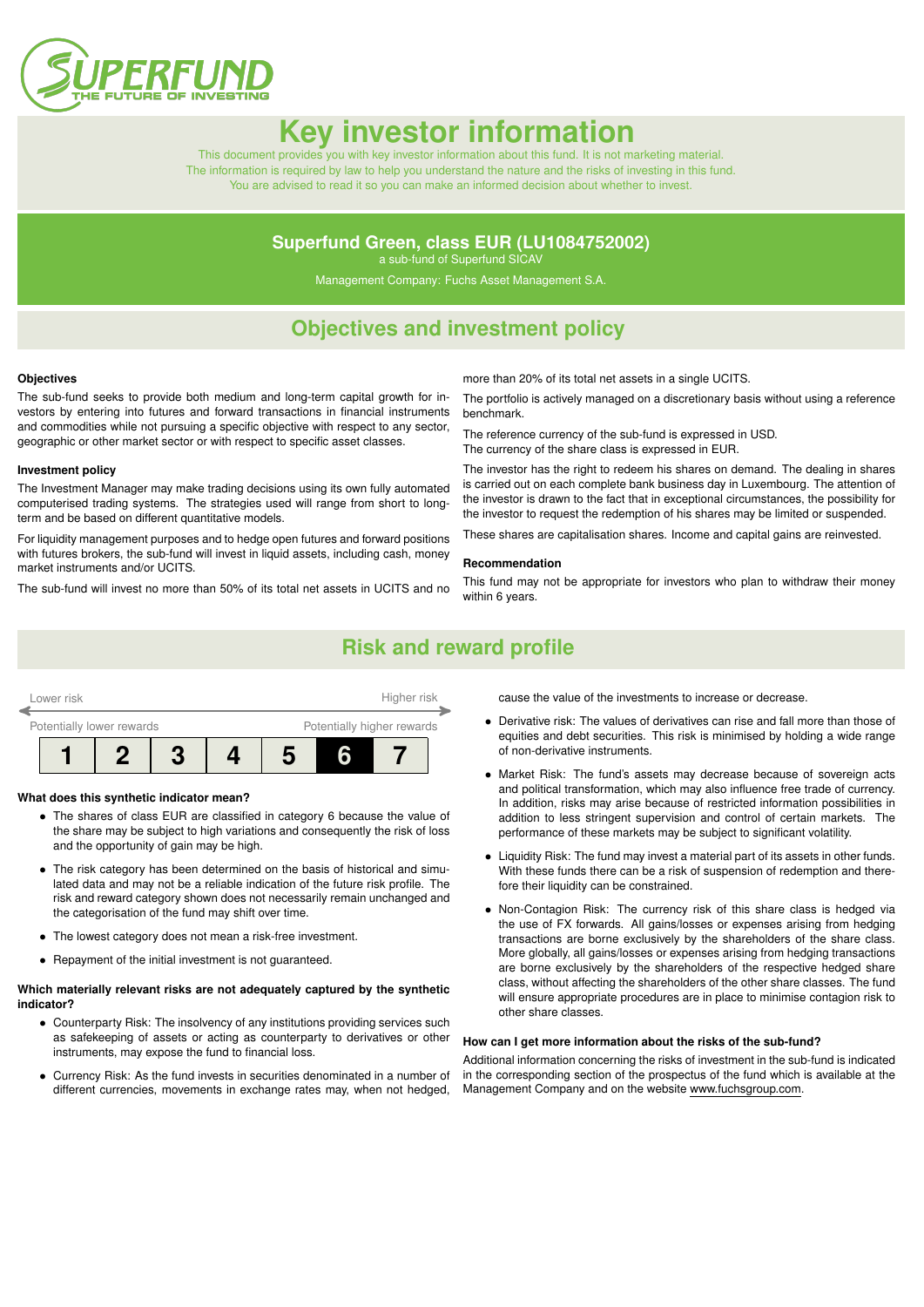

# **Key investor informat**

This document provides you with key investor information about this fund. It is not marketing material. The information is required by law to help you understand the nature and the risks of investing in this fund. You are advised to read it so you can make an informed decision about whether to invest.

### **Superfund Green, class EUR (LU1084752002)**

a sub-fund of Superfund SICAV

Management Company: Fuchs Asset Management S.A.

### **Objectives and investment policy**

#### **Objectives**

The sub-fund seeks to provide both medium and long-term capital growth for investors by entering into futures and forward transactions in financial instruments and commodities while not pursuing a specific objective with respect to any sector, geographic or other market sector or with respect to specific asset classes.

#### **Investment policy**

The Investment Manager may make trading decisions using its own fully automated computerised trading systems. The strategies used will range from short to longterm and be based on different quantitative models.

For liquidity management purposes and to hedge open futures and forward positions with futures brokers, the sub-fund will invest in liquid assets, including cash, money market instruments and/or UCITS.

The sub-fund will invest no more than 50% of its total net assets in UCITS and no

more than 20% of its total net assets in a single UCITS.

The portfolio is actively managed on a discretionary basis without using a reference benchmark.

The reference currency of the sub-fund is expressed in USD.

The currency of the share class is expressed in EUR.

The investor has the right to redeem his shares on demand. The dealing in shares is carried out on each complete bank business day in Luxembourg. The attention of the investor is drawn to the fact that in exceptional circumstances, the possibility for the investor to request the redemption of his shares may be limited or suspended.

These shares are capitalisation shares. Income and capital gains are reinvested.

#### **Recommendation**

This fund may not be appropriate for investors who plan to withdraw their money within 6 years.

### **Risk and reward profile**

| Higher risk<br>Lower risk |  |                                                         |  |  |  |  |  |  |
|---------------------------|--|---------------------------------------------------------|--|--|--|--|--|--|
|                           |  | Potentially higher rewards<br>Potentially lower rewards |  |  |  |  |  |  |
|                           |  |                                                         |  |  |  |  |  |  |

#### **What does this synthetic indicator mean?**

- The shares of class EUR are classified in category 6 because the value of the share may be subject to high variations and consequently the risk of loss and the opportunity of gain may be high.
- The risk category has been determined on the basis of historical and simulated data and may not be a reliable indication of the future risk profile. The risk and reward category shown does not necessarily remain unchanged and the categorisation of the fund may shift over time.
- The lowest category does not mean a risk-free investment.
- Repayment of the initial investment is not guaranteed.

#### **Which materially relevant risks are not adequately captured by the synthetic indicator?**

- Counterparty Risk: The insolvency of any institutions providing services such as safekeeping of assets or acting as counterparty to derivatives or other instruments, may expose the fund to financial loss.
- Currency Risk: As the fund invests in securities denominated in a number of different currencies, movements in exchange rates may, when not hedged,

cause the value of the investments to increase or decrease.

- Derivative risk: The values of derivatives can rise and fall more than those of equities and debt securities. This risk is minimised by holding a wide range of non-derivative instruments.
- Market Risk: The fund's assets may decrease because of sovereign acts and political transformation, which may also influence free trade of currency. In addition, risks may arise because of restricted information possibilities in addition to less stringent supervision and control of certain markets. The performance of these markets may be subject to significant volatility.
- Liquidity Risk: The fund may invest a material part of its assets in other funds. With these funds there can be a risk of suspension of redemption and therefore their liquidity can be constrained.
- Non-Contagion Risk: The currency risk of this share class is hedged via the use of FX forwards. All gains/losses or expenses arising from hedging transactions are borne exclusively by the shareholders of the share class. More globally, all gains/losses or expenses arising from hedging transactions are borne exclusively by the shareholders of the respective hedged share class, without affecting the shareholders of the other share classes. The fund will ensure appropriate procedures are in place to minimise contagion risk to other share classes.

#### **How can I get more information about the risks of the sub-fund?**

Additional information concerning the risks of investment in the sub-fund is indicated in the corresponding section of the prospectus of the fund which is available at the Management Company and on the website [www.fuchsgroup.com.](http://www.fuchsgroup.com)